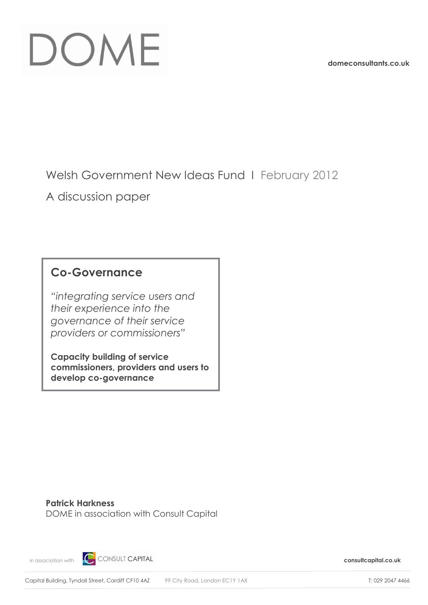# DOME

**domeconsultants.co.uk**

Welsh Government New Ideas Fund I February 2012

A discussion paper

### **Co-Governance**

*"integrating service users and their experience into the governance of their service providers or commissioners"*

**Capacity building of service commissioners, providers and users to develop co-governance**

**Patrick Harkness** DOME in association with Consult Capital

in association with **consult C** CONSULT CAPITAL **consultant in a system of the consultcapital.co.uk**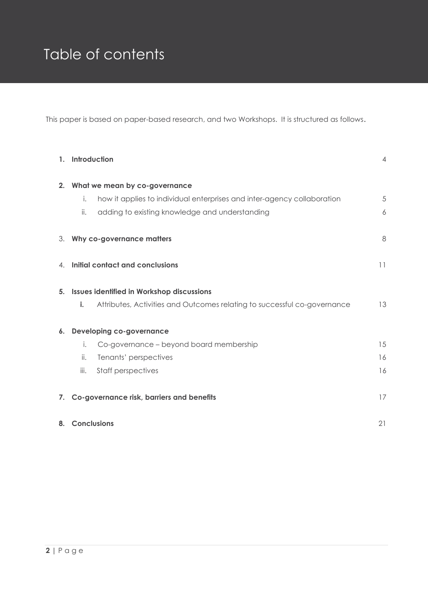## Table of contents

This paper is based on paper-based research, and two Workshops. It is structured as follows.

| 1.                                  | Introduction                                                                   | $\overline{4}$ |
|-------------------------------------|--------------------------------------------------------------------------------|----------------|
| What we mean by co-governance<br>2. |                                                                                |                |
|                                     | how it applies to individual enterprises and inter-agency collaboration<br>i.  | 5              |
|                                     | ii.<br>adding to existing knowledge and understanding                          | 6              |
|                                     | 3. Why co-governance matters                                                   | 8              |
|                                     | 4. Initial contact and conclusions                                             | 11             |
| 5.                                  | <b>Issues identified in Workshop discussions</b>                               |                |
|                                     | i.<br>Attributes, Activities and Outcomes relating to successful co-governance | 13             |
| 6.                                  | <b>Developing co-governance</b>                                                |                |
|                                     | Co-governance - beyond board membership<br>i.                                  | 15             |
|                                     | ii.<br>Tenants' perspectives                                                   | 16             |
|                                     | iii.<br>Staff perspectives                                                     | 16             |
| 7.                                  | Co-governance risk, barriers and benefits                                      | 17             |
| 8.                                  | <b>Conclusions</b>                                                             | 21             |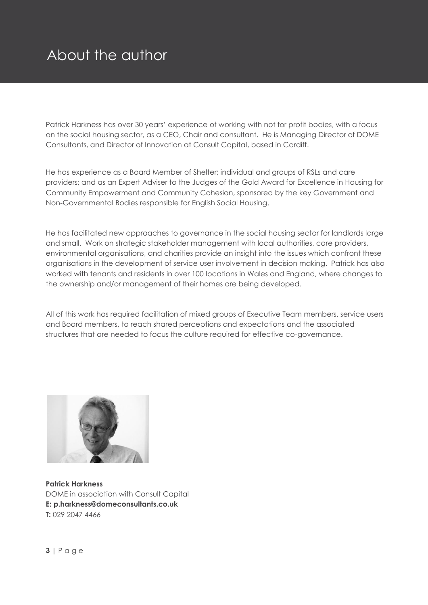## About the author

Patrick Harkness has over 30 years' experience of working with not for profit bodies, with a focus on the social housing sector, as a CEO, Chair and consultant. He is Managing Director of DOME Consultants, and Director of Innovation at Consult Capital, based in Cardiff.

He has experience as a Board Member of Shelter; individual and groups of RSLs and care providers; and as an Expert Adviser to the Judges of the Gold Award for Excellence in Housing for Community Empowerment and Community Cohesion, sponsored by the key Government and Non-Governmental Bodies responsible for English Social Housing.

He has facilitated new approaches to governance in the social housing sector for landlords large and small. Work on strategic stakeholder management with local authorities, care providers, environmental organisations, and charities provide an insight into the issues which confront these organisations in the development of service user involvement in decision making. Patrick has also worked with tenants and residents in over 100 locations in Wales and England, where changes to the ownership and/or management of their homes are being developed.

All of this work has required facilitation of mixed groups of Executive Team members, service users and Board members, to reach shared perceptions and expectations and the associated structures that are needed to focus the culture required for effective co-governance.



**Patrick Harkness**  DOME in association with Consult Capital **E: [p.harkness@domeconsultants.co.uk](mailto:p.harkness@domeconsultants.co.uk) T:** 029 2047 4466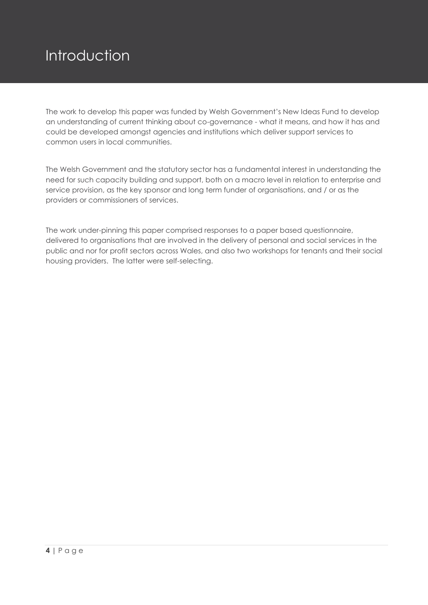## Introduction

The work to develop this paper was funded by Welsh Government's New Ideas Fund to develop an understanding of current thinking about co-governance - what it means, and how it has and could be developed amongst agencies and institutions which deliver support services to common users in local communities.

The Welsh Government and the statutory sector has a fundamental interest in understanding the need for such capacity building and support, both on a macro level in relation to enterprise and service provision, as the key sponsor and long term funder of organisations, and / or as the providers or commissioners of services.

The work under-pinning this paper comprised responses to a paper based questionnaire, delivered to organisations that are involved in the delivery of personal and social services in the public and nor for profit sectors across Wales, and also two workshops for tenants and their social housing providers. The latter were self-selecting.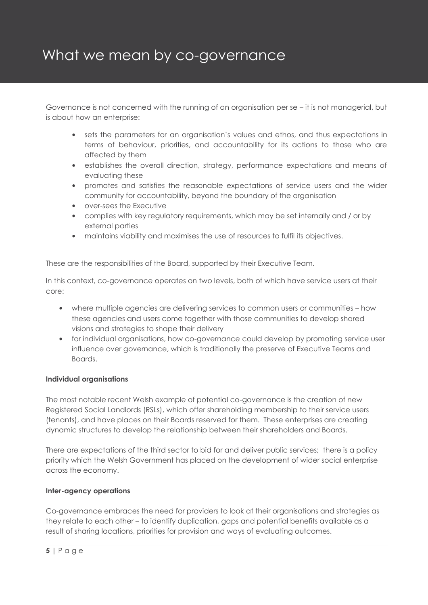## What we mean by co-governance

Governance is not concerned with the running of an organisation per se – it is not managerial, but is about how an enterprise:

- sets the parameters for an organisation's values and ethos, and thus expectations in terms of behaviour, priorities, and accountability for its actions to those who are affected by them
- establishes the overall direction, strategy, performance expectations and means of evaluating these
- promotes and satisfies the reasonable expectations of service users and the wider community for accountability, beyond the boundary of the organisation
- over-sees the Executive
- complies with key regulatory requirements, which may be set internally and / or by external parties
- maintains viability and maximises the use of resources to fulfil its objectives.

These are the responsibilities of the Board, supported by their Executive Team.

In this context, co-governance operates on two levels, both of which have service users at their core:

- where multiple agencies are delivering services to common users or communities how these agencies and users come together with those communities to develop shared visions and strategies to shape their delivery
- for individual organisations, how co-governance could develop by promoting service user influence over governance, which is traditionally the preserve of Executive Teams and Boards.

#### **Individual organisations**

The most notable recent Welsh example of potential co-governance is the creation of new Registered Social Landlords (RSLs), which offer shareholding membership to their service users (tenants), and have places on their Boards reserved for them. These enterprises are creating dynamic structures to develop the relationship between their shareholders and Boards.

There are expectations of the third sector to bid for and deliver public services; there is a policy priority which the Welsh Government has placed on the development of wider social enterprise across the economy.

#### **Inter-agency operations**

Co-governance embraces the need for providers to look at their organisations and strategies as they relate to each other – to identify duplication, gaps and potential benefits available as a result of sharing locations, priorities for provision and ways of evaluating outcomes.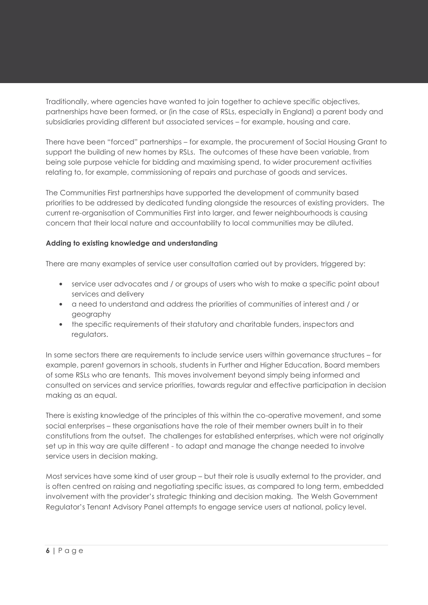Traditionally, where agencies have wanted to join together to achieve specific objectives, partnerships have been formed, or (in the case of RSLs, especially in England) a parent body and subsidiaries providing different but associated services – for example, housing and care.

There have been "forced" partnerships – for example, the procurement of Social Housing Grant to support the building of new homes by RSLs. The outcomes of these have been variable, from being sole purpose vehicle for bidding and maximising spend, to wider procurement activities relating to, for example, commissioning of repairs and purchase of goods and services.

The Communities First partnerships have supported the development of community based priorities to be addressed by dedicated funding alongside the resources of existing providers. The current re-organisation of Communities First into larger, and fewer neighbourhoods is causing concern that their local nature and accountability to local communities may be diluted.

#### **Adding to existing knowledge and understanding**

There are many examples of service user consultation carried out by providers, triggered by:

- service user advocates and / or groups of users who wish to make a specific point about services and delivery
- a need to understand and address the priorities of communities of interest and / or geography
- the specific requirements of their statutory and charitable funders, inspectors and regulators.

In some sectors there are requirements to include service users within governance structures – for example, parent governors in schools, students in Further and Higher Education, Board members of some RSLs who are tenants. This moves involvement beyond simply being informed and consulted on services and service priorities, towards regular and effective participation in decision making as an equal.

There is existing knowledge of the principles of this within the co-operative movement, and some social enterprises – these organisations have the role of their member owners built in to their constitutions from the outset. The challenges for established enterprises, which were not originally set up in this way are quite different - to adapt and manage the change needed to involve service users in decision making.

Most services have some kind of user group – but their role is usually external to the provider, and is often centred on raising and negotiating specific issues, as compared to long term, embedded involvement with the provider's strategic thinking and decision making. The Welsh Government Regulator's Tenant Advisory Panel attempts to engage service users at national, policy level.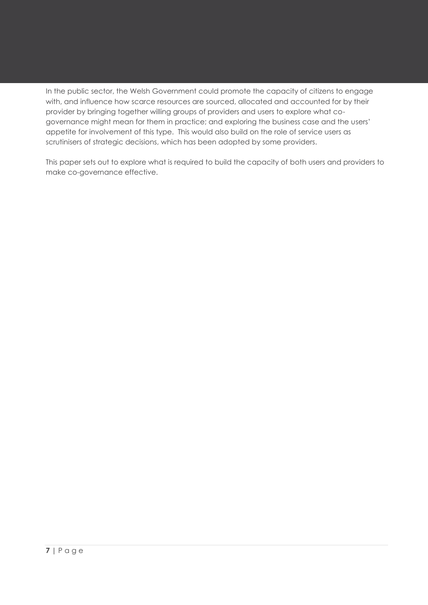In the public sector, the Welsh Government could promote the capacity of citizens to engage with, and influence how scarce resources are sourced, allocated and accounted for by their provider by bringing together willing groups of providers and users to explore what cogovernance might mean for them in practice; and exploring the business case and the users' appetite for involvement of this type. This would also build on the role of service users as scrutinisers of strategic decisions, which has been adopted by some providers.

This paper sets out to explore what is required to build the capacity of both users and providers to make co-governance effective.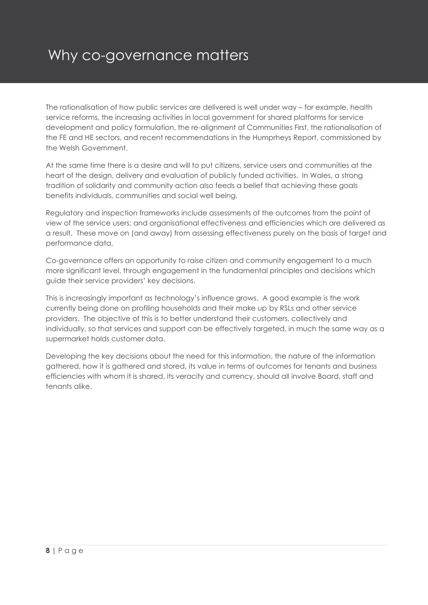## Why co-governance matters

The rationalisation of how public services are delivered is well under way – for example, health service reforms, the increasing activities in local government for shared platforms for service development and policy formulation, the re-alignment of Communities First, the rationalisation of the FE and HE sectors, and recent recommendations in the Humprheys Report, commissioned by the Welsh Government.

At the same time there is a desire and will to put citizens, service users and communities at the heart of the design, delivery and evaluation of publicly funded activities. In Wales, a strong tradition of solidarity and community action also feeds a belief that achieving these goals benefits individuals, communities and social well being.

Regulatory and inspection frameworks include assessments of the outcomes from the point of view of the service users; and organisational effectiveness and efficiencies which are delivered as a result. These move on (and away) from assessing effectiveness purely on the basis of target and performance data.

Co-governance offers an opportunity to raise citizen and community engagement to a much more significant level, through engagement in the fundamental principles and decisions which guide their service providers' key decisions.

This is increasingly important as technology's influence grows. A good example is the work currently being done on profiling households and their make up by RSLs and other service providers. The objective of this is to better understand their customers, collectively and individually, so that services and support can be effectively targeted, in much the same way as a supermarket holds customer data.

Developing the key decisions about the need for this information, the nature of the information gathered, how it is gathered and stored, its value in terms of outcomes for tenants and business efficiencies with whom it is shared, its veracity and currency, should all involve Board, staff and tenants alike.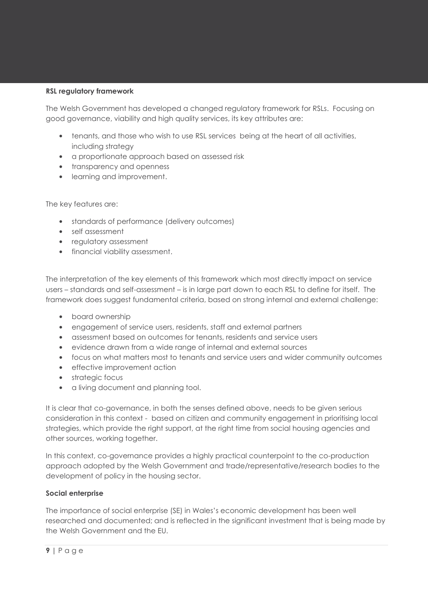#### **RSL regulatory framework**

The Welsh Government has developed a changed regulatory framework for RSLs. Focusing on good governance, viability and high quality services, its key attributes are:

- tenants, and those who wish to use RSL services being at the heart of all activities, including strategy
- a proportionate approach based on assessed risk
- transparency and openness
- learning and improvement.

The key features are:

- standards of performance (delivery outcomes)
- self assessment
- regulatory assessment
- financial viability assessment.

The interpretation of the key elements of this framework which most directly impact on service users – standards and self-assessment – is in large part down to each RSL to define for itself. The framework does suggest fundamental criteria, based on strong internal and external challenge:

- board ownership
- engagement of service users, residents, staff and external partners
- assessment based on outcomes for tenants, residents and service users
- evidence drawn from a wide range of internal and external sources
- focus on what matters most to tenants and service users and wider community outcomes
- effective improvement action
- strategic focus
- a living document and planning tool.

It is clear that co-governance, in both the senses defined above, needs to be given serious consideration in this context - based on citizen and community engagement in prioritising local strategies, which provide the right support, at the right time from social housing agencies and other sources, working together.

In this context, co-governance provides a highly practical counterpoint to the co-production approach adopted by the Welsh Government and trade/representative/research bodies to the development of policy in the housing sector.

#### **Social enterprise**

The importance of social enterprise (SE) in Wales's economic development has been well researched and documented; and is reflected in the significant investment that is being made by the Welsh Government and the EU.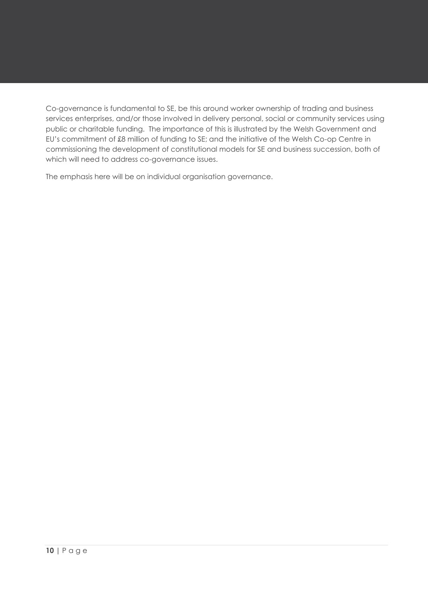Co-governance is fundamental to SE, be this around worker ownership of trading and business services enterprises, and/or those involved in delivery personal, social or community services using public or charitable funding. The importance of this is illustrated by the Welsh Government and EU's commitment of £8 million of funding to SE; and the initiative of the Welsh Co-op Centre in commissioning the development of constitutional models for SE and business succession, both of which will need to address co-governance issues.

The emphasis here will be on individual organisation governance.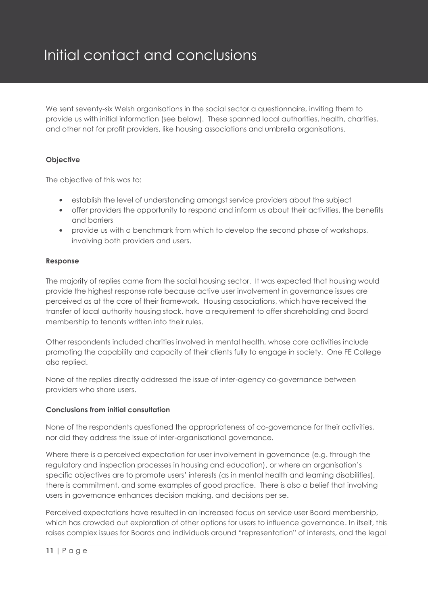## Initial contact and conclusions

We sent seventy-six Welsh organisations in the social sector a questionnaire, inviting them to provide us with initial information (see below). These spanned local authorities, health, charities, and other not for profit providers, like housing associations and umbrella organisations.

#### **Objective**

The objective of this was to:

- establish the level of understanding amongst service providers about the subject
- offer providers the opportunity to respond and inform us about their activities, the benefits and barriers
- provide us with a benchmark from which to develop the second phase of workshops, involving both providers and users.

#### **Response**

The majority of replies came from the social housing sector. It was expected that housing would provide the highest response rate because active user involvement in governance issues are perceived as at the core of their framework. Housing associations, which have received the transfer of local authority housing stock, have a requirement to offer shareholding and Board membership to tenants written into their rules.

Other respondents included charities involved in mental health, whose core activities include promoting the capability and capacity of their clients fully to engage in society. One FE College also replied.

None of the replies directly addressed the issue of inter-agency co-governance between providers who share users.

#### **Conclusions from initial consultation**

None of the respondents questioned the appropriateness of co-governance for their activities, nor did they address the issue of inter-organisational governance.

Where there is a perceived expectation for user involvement in governance (e.g. through the regulatory and inspection processes in housing and education), or where an organisation's specific objectives are to promote users' interests (as in mental health and learning disabilities), there is commitment, and some examples of good practice. There is also a belief that involving users in governance enhances decision making, and decisions per se.

Perceived expectations have resulted in an increased focus on service user Board membership, which has crowded out exploration of other options for users to influence governance. In itself, this raises complex issues for Boards and individuals around "representation" of interests, and the legal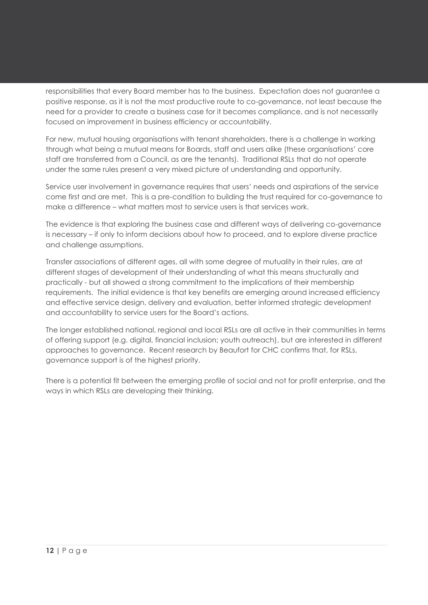responsibilities that every Board member has to the business. Expectation does not guarantee a positive response, as it is not the most productive route to co-governance, not least because the need for a provider to create a business case for it becomes compliance, and is not necessarily focused on improvement in business efficiency or accountability.

For new, mutual housing organisations with tenant shareholders, there is a challenge in working through what being a mutual means for Boards, staff and users alike (these organisations' core staff are transferred from a Council, as are the tenants). Traditional RSLs that do not operate under the same rules present a very mixed picture of understanding and opportunity.

Service user involvement in governance requires that users' needs and aspirations of the service come first and are met. This is a pre-condition to building the trust required for co-governance to make a difference – what matters most to service users is that services work.

The evidence is that exploring the business case and different ways of delivering co-governance is necessary – if only to inform decisions about how to proceed, and to explore diverse practice and challenge assumptions.

Transfer associations of different ages, all with some degree of mutuality in their rules, are at different stages of development of their understanding of what this means structurally and practically - but all showed a strong commitment to the implications of their membership requirements. The initial evidence is that key benefits are emerging around increased efficiency and effective service design, delivery and evaluation, better informed strategic development and accountability to service users for the Board's actions.

The longer established national, regional and local RSLs are all active in their communities in terms of offering support (e.g. digital, financial inclusion; youth outreach), but are interested in different approaches to governance. Recent research by Beaufort for CHC confirms that, for RSLs, governance support is of the highest priority.

There is a potential fit between the emerging profile of social and not for profit enterprise, and the ways in which RSLs are developing their thinking.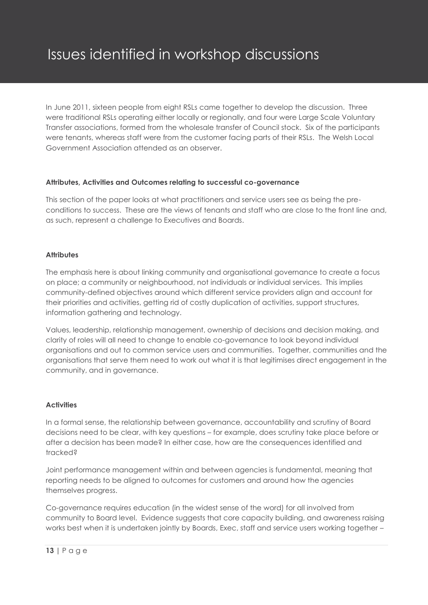In June 2011, sixteen people from eight RSLs came together to develop the discussion. Three were traditional RSLs operating either locally or regionally, and four were Large Scale Voluntary Transfer associations, formed from the wholesale transfer of Council stock. Six of the participants were tenants, whereas staff were from the customer facing parts of their RSLs. The Welsh Local Government Association attended as an observer.

#### **Attributes, Activities and Outcomes relating to successful co-governance**

This section of the paper looks at what practitioners and service users see as being the preconditions to success. These are the views of tenants and staff who are close to the front line and, as such, represent a challenge to Executives and Boards.

#### **Attributes**

The emphasis here is about linking community and organisational governance to create a focus on place; a community or neighbourhood, not individuals or individual services. This implies community-defined objectives around which different service providers align and account for their priorities and activities, getting rid of costly duplication of activities, support structures, information gathering and technology.

Values, leadership, relationship management, ownership of decisions and decision making, and clarity of roles will all need to change to enable co-governance to look beyond individual organisations and out to common service users and communities. Together, communities and the organisations that serve them need to work out what it is that legitimises direct engagement in the community, and in governance.

#### **Activities**

In a formal sense, the relationship between governance, accountability and scrutiny of Board decisions need to be clear, with key questions – for example, does scrutiny take place before or after a decision has been made? In either case, how are the consequences identified and tracked?

Joint performance management within and between agencies is fundamental, meaning that reporting needs to be aligned to outcomes for customers and around how the agencies themselves progress.

Co-governance requires education (in the widest sense of the word) for all involved from community to Board level. Evidence suggests that core capacity building, and awareness raising works best when it is undertaken jointly by Boards, Exec, staff and service users working together –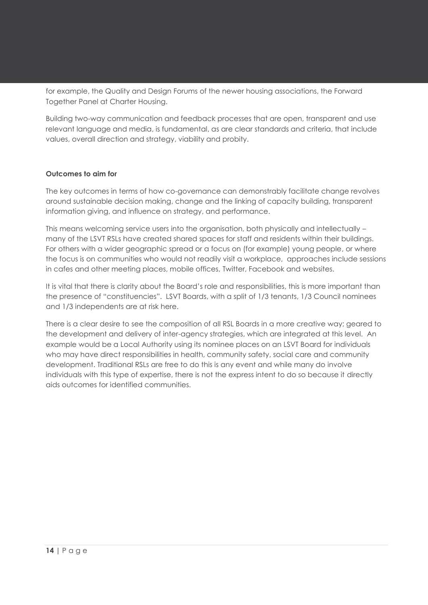for example, the Quality and Design Forums of the newer housing associations, the Forward Together Panel at Charter Housing.

Building two-way communication and feedback processes that are open, transparent and use relevant language and media, is fundamental, as are clear standards and criteria, that include values, overall direction and strategy, viability and probity.

#### **Outcomes to aim for**

The key outcomes in terms of how co-governance can demonstrably facilitate change revolves around sustainable decision making, change and the linking of capacity building, transparent information giving, and influence on strategy, and performance.

This means welcoming service users into the organisation, both physically and intellectually – many of the LSVT RSLs have created shared spaces for staff and residents within their buildings. For others with a wider geographic spread or a focus on (for example) young people, or where the focus is on communities who would not readily visit a workplace, approaches include sessions in cafes and other meeting places, mobile offices, Twitter, Facebook and websites.

It is vital that there is clarity about the Board's role and responsibilities, this is more important than the presence of "constituencies". LSVT Boards, with a split of 1/3 tenants, 1/3 Council nominees and 1/3 independents are at risk here.

There is a clear desire to see the composition of all RSL Boards in a more creative way; geared to the development and delivery of inter-agency strategies, which are integrated at this level. An example would be a Local Authority using its nominee places on an LSVT Board for individuals who may have direct responsibilities in health, community safety, social care and community development. Traditional RSLs are free to do this is any event and while many do involve individuals with this type of expertise, there is not the express intent to do so because it directly aids outcomes for identified communities.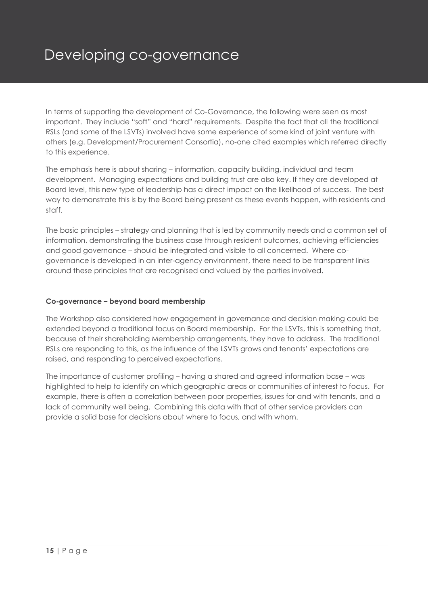## Developing co-governance

In terms of supporting the development of Co-Governance, the following were seen as most important. They include "soft" and "hard" requirements. Despite the fact that all the traditional RSLs (and some of the LSVTs) involved have some experience of some kind of joint venture with others (e.g. Development/Procurement Consortia), no-one cited examples which referred directly to this experience.

The emphasis here is about sharing – information, capacity building, individual and team development. Managing expectations and building trust are also key. If they are developed at Board level, this new type of leadership has a direct impact on the likelihood of success. The best way to demonstrate this is by the Board being present as these events happen, with residents and staff.

The basic principles – strategy and planning that is led by community needs and a common set of information, demonstrating the business case through resident outcomes, achieving efficiencies and good governance – should be integrated and visible to all concerned. Where cogovernance is developed in an inter-agency environment, there need to be transparent links around these principles that are recognised and valued by the parties involved.

#### **Co-governance – beyond board membership**

The Workshop also considered how engagement in governance and decision making could be extended beyond a traditional focus on Board membership. For the LSVTs, this is something that, because of their shareholding Membership arrangements, they have to address. The traditional RSLs are responding to this, as the influence of the LSVTs grows and tenants' expectations are raised, and responding to perceived expectations.

The importance of customer profiling – having a shared and agreed information base – was highlighted to help to identify on which geographic areas or communities of interest to focus. For example, there is often a correlation between poor properties, issues for and with tenants, and a lack of community well being. Combining this data with that of other service providers can provide a solid base for decisions about where to focus, and with whom.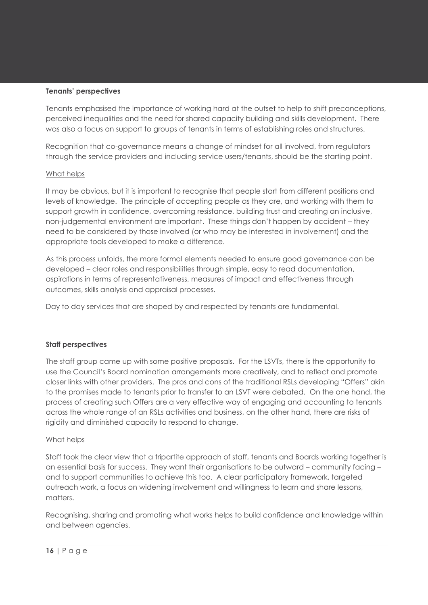#### **Tenants' perspectives**

Tenants emphasised the importance of working hard at the outset to help to shift preconceptions, perceived inequalities and the need for shared capacity building and skills development. There was also a focus on support to groups of tenants in terms of establishing roles and structures.

Recognition that co-governance means a change of mindset for all involved, from regulators through the service providers and including service users/tenants, should be the starting point.

#### What helps

It may be obvious, but it is important to recognise that people start from different positions and levels of knowledge. The principle of accepting people as they are, and working with them to support growth in confidence, overcoming resistance, building trust and creating an inclusive, non-judgemental environment are important. These things don't happen by accident – they need to be considered by those involved (or who may be interested in involvement) and the appropriate tools developed to make a difference.

As this process unfolds, the more formal elements needed to ensure good governance can be developed – clear roles and responsibilities through simple, easy to read documentation, aspirations in terms of representativeness, measures of impact and effectiveness through outcomes, skills analysis and appraisal processes.

Day to day services that are shaped by and respected by tenants are fundamental.

#### **Staff perspectives**

The staff group came up with some positive proposals. For the LSVTs, there is the opportunity to use the Council's Board nomination arrangements more creatively, and to reflect and promote closer links with other providers. The pros and cons of the traditional RSLs developing "Offers" akin to the promises made to tenants prior to transfer to an LSVT were debated. On the one hand, the process of creating such Offers are a very effective way of engaging and accounting to tenants across the whole range of an RSLs activities and business, on the other hand, there are risks of rigidity and diminished capacity to respond to change.

#### What helps

Staff took the clear view that a tripartite approach of staff, tenants and Boards working together is an essential basis for success. They want their organisations to be outward – community facing – and to support communities to achieve this too. A clear participatory framework, targeted outreach work, a focus on widening involvement and willingness to learn and share lessons, matters.

Recognising, sharing and promoting what works helps to build confidence and knowledge within and between agencies.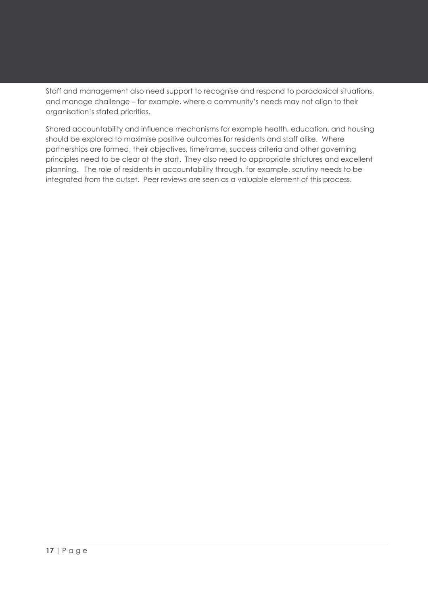Staff and management also need support to recognise and respond to paradoxical situations, and manage challenge – for example, where a community's needs may not align to their organisation's stated priorities.

Shared accountability and influence mechanisms for example health, education, and housing should be explored to maximise positive outcomes for residents and staff alike. Where partnerships are formed, their objectives, timeframe, success criteria and other governing principles need to be clear at the start. They also need to appropriate strictures and excellent planning. The role of residents in accountability through, for example, scrutiny needs to be integrated from the outset. Peer reviews are seen as a valuable element of this process.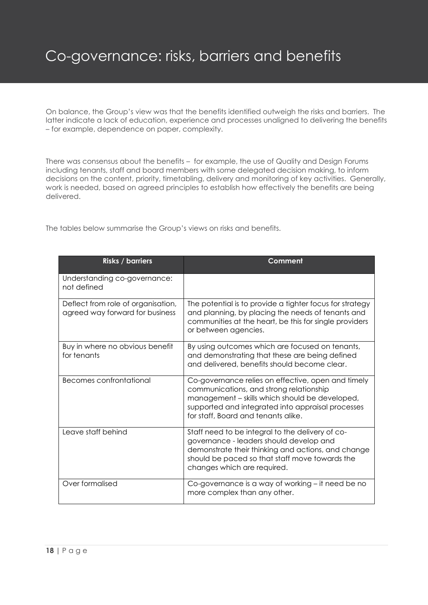## Co-governance: risks, barriers and benefits

On balance, the Group's view was that the benefits identified outweigh the risks and barriers. The latter indicate a lack of education, experience and processes unaligned to delivering the benefits – for example, dependence on paper, complexity.

There was consensus about the benefits – for example, the use of Quality and Design Forums including tenants, staff and board members with some delegated decision making, to inform decisions on the content, priority, timetabling, delivery and monitoring of key activities. Generally, work is needed, based on agreed principles to establish how effectively the benefits are being delivered.

The tables below summarise the Group's views on risks and benefits.

| <b>Risks / barriers</b>                                               | Comment                                                                                                                                                                                                                                     |
|-----------------------------------------------------------------------|---------------------------------------------------------------------------------------------------------------------------------------------------------------------------------------------------------------------------------------------|
| Understanding co-governance:<br>not defined                           |                                                                                                                                                                                                                                             |
| Deflect from role of organisation,<br>agreed way forward for business | The potential is to provide a tighter focus for strategy<br>and planning, by placing the needs of tenants and<br>communities at the heart, be this for single providers<br>or between agencies.                                             |
| Buy in where no obvious benefit<br>for tenants                        | By using outcomes which are focused on tenants,<br>and demonstrating that these are being defined<br>and delivered, benefits should become clear.                                                                                           |
| Becomes confrontational                                               | Co-governance relies on effective, open and timely<br>communications, and strong relationship<br>management - skills which should be developed,<br>supported and integrated into appraisal processes<br>for staff, Board and tenants alike. |
| Leave staff behind                                                    | Staff need to be integral to the delivery of co-<br>governance - leaders should develop and<br>demonstrate their thinking and actions, and change<br>should be paced so that staff move towards the<br>changes which are required.          |
| Over formalised                                                       | Co-governance is a way of working – it need be no<br>more complex than any other.                                                                                                                                                           |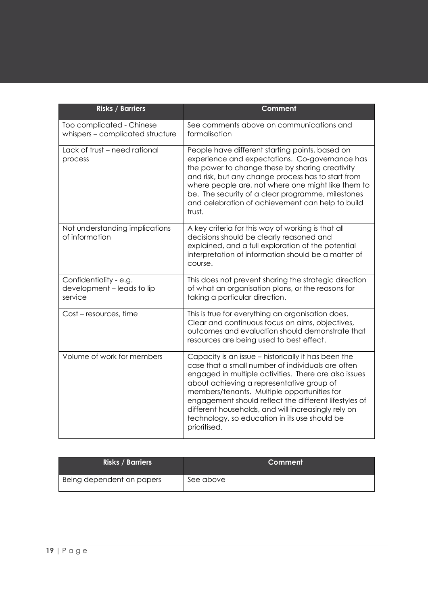| <b>Risks / Barriers</b>                                         | Comment                                                                                                                                                                                                                                                                                                                                                                                                                                        |
|-----------------------------------------------------------------|------------------------------------------------------------------------------------------------------------------------------------------------------------------------------------------------------------------------------------------------------------------------------------------------------------------------------------------------------------------------------------------------------------------------------------------------|
| Too complicated - Chinese<br>whispers - complicated structure   | See comments above on communications and<br>formalisation                                                                                                                                                                                                                                                                                                                                                                                      |
| Lack of trust - need rational<br>process                        | People have different starting points, based on<br>experience and expectations. Co-governance has<br>the power to change these by sharing creativity<br>and risk, but any change process has to start from<br>where people are, not where one might like them to<br>be. The security of a clear programme, milestones<br>and celebration of achievement can help to build<br>trust.                                                            |
| Not understanding implications<br>of information                | A key criteria for this way of working is that all<br>decisions should be clearly reasoned and<br>explained, and a full exploration of the potential<br>interpretation of information should be a matter of<br>course.                                                                                                                                                                                                                         |
| Confidentiality - e.g.<br>development - leads to lip<br>service | This does not prevent sharing the strategic direction<br>of what an organisation plans, or the reasons for<br>taking a particular direction.                                                                                                                                                                                                                                                                                                   |
| Cost - resources, time                                          | This is true for everything an organisation does.<br>Clear and continuous focus on aims, objectives,<br>outcomes and evaluation should demonstrate that<br>resources are being used to best effect.                                                                                                                                                                                                                                            |
| Volume of work for members                                      | Capacity is an issue - historically it has been the<br>case that a small number of individuals are often<br>engaged in multiple activities. There are also issues<br>about achieving a representative group of<br>members/tenants. Multiple opportunities for<br>engagement should reflect the different lifestyles of<br>different households, and will increasingly rely on<br>technology, so education in its use should be<br>prioritised. |

| <b>Risks / Barriers</b>   | Comment   |
|---------------------------|-----------|
| Being dependent on papers | See above |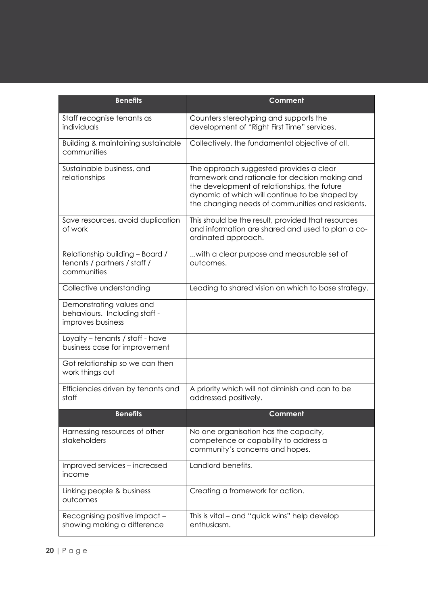| <b>Benefits</b>                                                                | <b>Comment</b>                                                                                                                                                                                                                                   |
|--------------------------------------------------------------------------------|--------------------------------------------------------------------------------------------------------------------------------------------------------------------------------------------------------------------------------------------------|
| Staff recognise tenants as<br>individuals                                      | Counters stereotyping and supports the<br>development of "Right First Time" services.                                                                                                                                                            |
| Building & maintaining sustainable<br>communities                              | Collectively, the fundamental objective of all.                                                                                                                                                                                                  |
| Sustainable business, and<br>relationships                                     | The approach suggested provides a clear<br>framework and rationale for decision making and<br>the development of relationships, the future<br>dynamic of which will continue to be shaped by<br>the changing needs of communities and residents. |
| Save resources, avoid duplication<br>of work                                   | This should be the result, provided that resources<br>and information are shared and used to plan a co-<br>ordinated approach.                                                                                                                   |
| Relationship building - Board /<br>tenants / partners / staff /<br>communities | with a clear purpose and measurable set of<br>outcomes.                                                                                                                                                                                          |
| Collective understanding                                                       | Leading to shared vision on which to base strategy.                                                                                                                                                                                              |
| Demonstrating values and<br>behaviours. Including staff -<br>improves business |                                                                                                                                                                                                                                                  |
| Loyalty - tenants / staff - have<br>business case for improvement              |                                                                                                                                                                                                                                                  |
| Got relationship so we can then<br>work things out                             |                                                                                                                                                                                                                                                  |
| Efficiencies driven by tenants and<br>staff                                    | A priority which will not diminish and can to be<br>addressed positively.                                                                                                                                                                        |
| <b>Benefits</b>                                                                | <b>Comment</b>                                                                                                                                                                                                                                   |
| Harnessing resources of other<br>stakeholders                                  | No one organisation has the capacity,<br>competence or capability to address a<br>community's concerns and hopes.                                                                                                                                |
| Improved services - increased<br>income                                        | Landlord benefits.                                                                                                                                                                                                                               |
| Linking people & business<br>outcomes                                          | Creating a framework for action.                                                                                                                                                                                                                 |
| Recognising positive impact -<br>showing making a difference                   | This is vital – and "quick wins" help develop<br>enthusiasm.                                                                                                                                                                                     |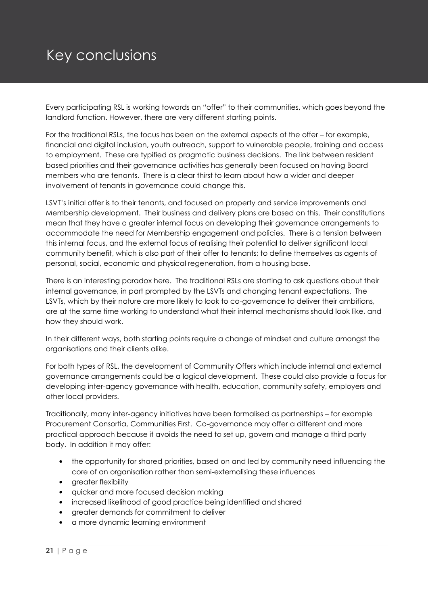## Key conclusions

Every participating RSL is working towards an "offer" to their communities, which goes beyond the landlord function. However, there are very different starting points.

For the traditional RSLs, the focus has been on the external aspects of the offer – for example, financial and digital inclusion, youth outreach, support to vulnerable people, training and access to employment. These are typified as pragmatic business decisions. The link between resident based priorities and their governance activities has generally been focused on having Board members who are tenants. There is a clear thirst to learn about how a wider and deeper involvement of tenants in governance could change this.

LSVT's initial offer is to their tenants, and focused on property and service improvements and Membership development. Their business and delivery plans are based on this. Their constitutions mean that they have a greater internal focus on developing their governance arrangements to accommodate the need for Membership engagement and policies. There is a tension between this internal focus, and the external focus of realising their potential to deliver significant local community benefit, which is also part of their offer to tenants; to define themselves as agents of personal, social, economic and physical regeneration, from a housing base.

There is an interesting paradox here. The traditional RSLs are starting to ask questions about their internal governance, in part prompted by the LSVTs and changing tenant expectations. The LSVTs, which by their nature are more likely to look to co-governance to deliver their ambitions, are at the same time working to understand what their internal mechanisms should look like, and how they should work.

In their different ways, both starting points require a change of mindset and culture amongst the organisations and their clients alike.

For both types of RSL, the development of Community Offers which include internal and external governance arrangements could be a logical development. These could also provide a focus for developing inter-agency governance with health, education, community safety, employers and other local providers.

Traditionally, many inter-agency initiatives have been formalised as partnerships – for example Procurement Consortia, Communities First. Co-governance may offer a different and more practical approach because it avoids the need to set up, govern and manage a third party body. In addition it may offer:

- the opportunity for shared priorities, based on and led by community need influencing the core of an organisation rather than semi-externalising these influences
- greater flexibility
- quicker and more focused decision making
- increased likelihood of good practice being identified and shared
- greater demands for commitment to deliver
- a more dynamic learning environment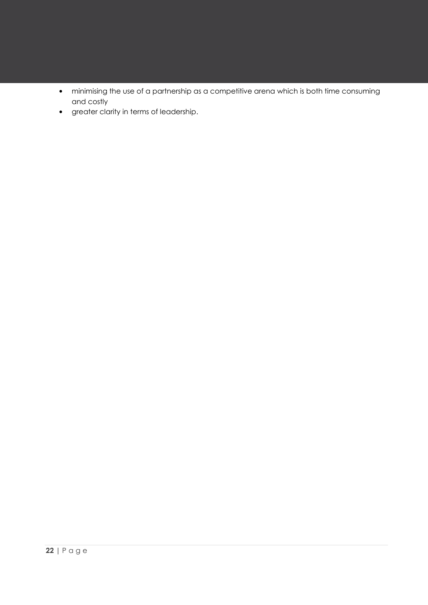- minimising the use of a partnership as a competitive arena which is both time consuming and costly
- greater clarity in terms of leadership.